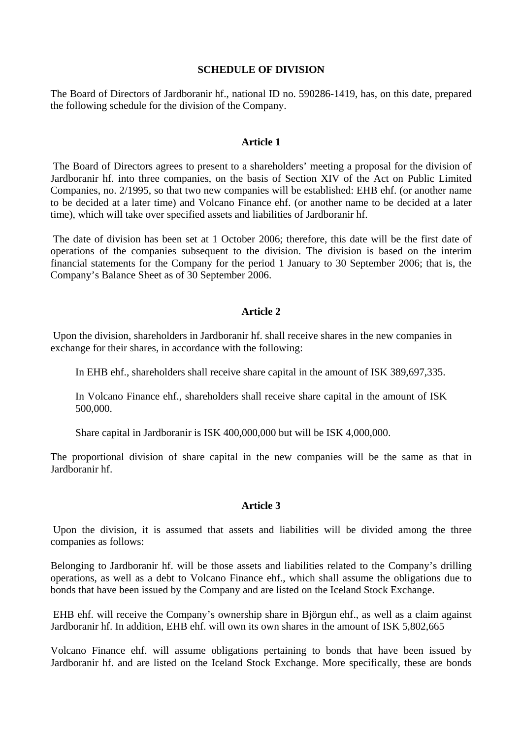### **SCHEDULE OF DIVISION**

The Board of Directors of Jardboranir hf., national ID no. 590286-1419, has, on this date, prepared the following schedule for the division of the Company.

## **Article 1**

 The Board of Directors agrees to present to a shareholders' meeting a proposal for the division of Jardboranir hf. into three companies, on the basis of Section XIV of the Act on Public Limited Companies, no. 2/1995, so that two new companies will be established: EHB ehf. (or another name to be decided at a later time) and Volcano Finance ehf. (or another name to be decided at a later time), which will take over specified assets and liabilities of Jardboranir hf.

 The date of division has been set at 1 October 2006; therefore, this date will be the first date of operations of the companies subsequent to the division. The division is based on the interim financial statements for the Company for the period 1 January to 30 September 2006; that is, the Company's Balance Sheet as of 30 September 2006.

# **Article 2**

 Upon the division, shareholders in Jardboranir hf. shall receive shares in the new companies in exchange for their shares, in accordance with the following:

In EHB ehf., shareholders shall receive share capital in the amount of ISK 389,697,335.

In Volcano Finance ehf., shareholders shall receive share capital in the amount of ISK 500,000.

Share capital in Jardboranir is ISK 400,000,000 but will be ISK 4,000,000.

The proportional division of share capital in the new companies will be the same as that in Jardboranir hf.

# **Article 3**

 Upon the division, it is assumed that assets and liabilities will be divided among the three companies as follows:

Belonging to Jardboranir hf. will be those assets and liabilities related to the Company's drilling operations, as well as a debt to Volcano Finance ehf., which shall assume the obligations due to bonds that have been issued by the Company and are listed on the Iceland Stock Exchange.

 EHB ehf. will receive the Company's ownership share in Björgun ehf., as well as a claim against Jardboranir hf. In addition, EHB ehf. will own its own shares in the amount of ISK 5,802,665

Volcano Finance ehf. will assume obligations pertaining to bonds that have been issued by Jardboranir hf. and are listed on the Iceland Stock Exchange. More specifically, these are bonds